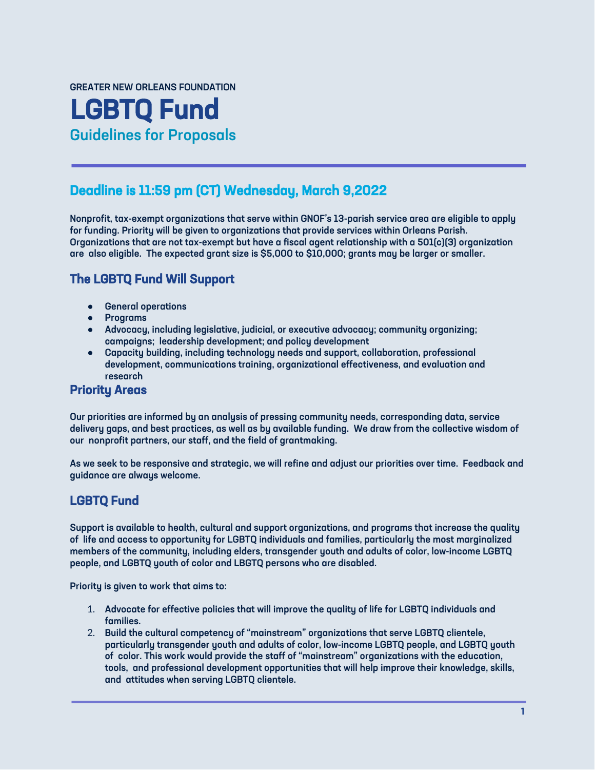#### GREATER NEW ORLEANS FOUNDATION

# LGBTQ Fund Guidelines for Proposals

## Deadline is 11:59 pm (CT) Wednesday, March 9,2022

Nonprofit, tax-exempt organizations that serve within GNOF's 13-parish service area are eligible to apply for funding. Priority will be given to organizations that provide services within Orleans Parish. Organizations that are not tax-exempt but have a fiscal agent relationship with a 501(c)(3) organization are also eligible. The expected grant size is \$5,000 to \$10,000; grants may be larger or smaller.

# The LGBTQ Fund Will Support

- General operations
- Programs
- Advocacy, including legislative, judicial, or executive advocacy; community organizing; campaigns; leadership development; and policy development
- Capacity building, including technology needs and support, collaboration, professional development, communications training, organizational effectiveness, and evaluation and research

#### Priority Areas

Our priorities are informed by an analysis of pressing community needs, corresponding data, service delivery gaps, and best practices, as well as by available funding. We draw from the collective wisdom of our nonprofit partners, our staff, and the field of grantmaking.

As we seek to be responsive and strategic, we will refine and adjust our priorities over time. Feedback and guidance are always welcome.

### LGBTQ Fund

Support is available to health, cultural and support organizations, and programs that increase the quality of life and access to opportunity for LGBTQ individuals and families, particularly the most marginalized members of the community, including elders, transgender youth and adults of color, low-income LGBTQ people, and LGBTQ youth of color and LBGTQ persons who are disabled.

Priority is given to work that aims to:

- 1. Advocate for effective policies that will improve the quality of life for LGBTQ individuals and families.
- 2. Build the cultural competency of "mainstream" organizations that serve LGBTQ clientele, particularly transgender youth and adults of color, low-income LGBTQ people, and LGBTQ youth of color. This work would provide the staff of "mainstream" organizations with the education, tools, and professional development opportunities that will help improve their knowledge, skills, and attitudes when serving LGBTQ clientele.